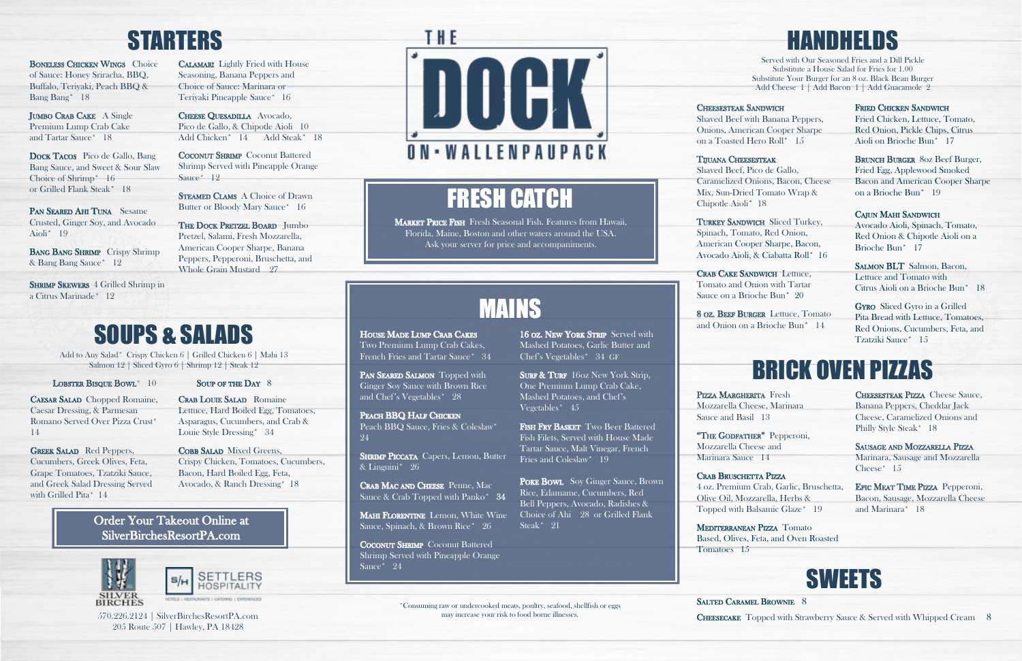## STARTERS

BONELESS CHICKEN WINGS Choice of Sauce: Honey Sriracha, BBQ, Buffalo, Teriyaki, Peach BBQ & Bang Bang\* 18

## SOUPS & SALADS

Add to Any Salad\* Crispy Chicken 6 | Grilled Chicken 6 | Mahi 13

### LOBSTER BISQUE BOWL<sup>\*</sup> 10

JUMBO CRAB CAKE A Single Premium Lump Crab Cake and Tartar Sauce\* 18

DOCK TACOS Pico de Gallo, Bang Bang Sauce, and Sweet & Sour Slaw Choice of Shrimp\* 16 or Grilled Flank Steak\* 18

PAN SEARED AHI TUNA Sesame Crusted, Ginger Soy, and Avocado Aioli\* 19

BANG BANG SHRIMP Crispy Shrimp & Bang Bang Sauce\* 12

SHRIMP SKEWERS 4 Grilled Shrimp in a Citrus Marinade\* 12

CAESAR SALAD Chopped Romaine, Caesar Dressing, & Parmesan Romano Served Over Pizza Crust\* 14

GREEK SALAD Red Peppers, Cucumbers, Greek Olives, Feta, Grape Tomatoes, Tzatziki Sauce, and Greek Salad Dressing Served with Grilled Pita\* 14

## CRAB LOUIE SALAD Romaine

Pizza Margherita Fresh Mozzarella Cheese, Marinara Sauce and Basil 13

"THE GODFATHER" Pepperoni, Mozzarella Cheese and Marinara Sauce 14

CRAB BRUSCHETTA PIZZA 4 oz. Premium Crab, Garlic, Bruschetta, Olive Oil, Mozzarella, Herbs & Topped with Balsamic Glaze\* 19

MEDITERRANEAN PIZZA Tomato Based, Olives, Feta, and Oven Roasted

**CHEESESTEAK SANDWICH** Shaved Beef with Banana Peppers, Onions, American Cooper Sharpe on a Toasted Hero Roll\* 15

### TIJUANA CHEESESTEAK

TURKEY SANDWICH Sliced Turkey, Spinach, Tomato, Red Onion, American Cooper Sharpe, Bacon, Avocado Aioli, & Ciabatta Roll\* 16

CRAB CAKE SANDWICH Lettuce, Tomato and Onion with Tartar Sauce on a Brioche Bun\* 20

CALAMARI Lightly Fried with House Seasoning, Banana Peppers and Choice of Sauce: Marinara or Teriyaki Pineapple Sauce\* 16

CHEESE QUESADILLA Avocado, Pico de Gallo, & Chipotle Aioli 10 Add Chicken\* 14 Add Steak\* 18

**COCONUT SHRIMP** Coconut Battered Shrimp Served with Pineapple Orange Sauce\* 12

Tomatoes 15

SALTED CARAMEL BROWNIE 8

## HANDHELDS

**STEAMED CLAMS A Choice of Drawn** Butter or Bloody Mary Sauce\* 16

THE DOCK PRETZEL BOARD Jumbo Pretzel, Salami, Fresh Mozzarella, American Cooper Sharpe, Banana Peppers, Pepperoni, Bruschetta, and Whole Grain Mustard 27

Served with Our Seasoned Fries and a Dill Pickle Substitute a House Salad for Fries for 1.00 Substitute Your Burger for an 8 oz. Black Bean Burger Add Cheese 1 | Add Bacon 1 | Add Guacamole 2

COBB SALAD Mixed Greens, Crispy Chicken, Tomatoes, Cucumbers, Bacon, Hard Boiled Egg, Feta, Avocado, & Ranch Dressing\* 18

CHEESESTEAK PIZZA Cheese Sauce, Banana Peppers, Cheddar Jack Cheese, Caramelized Onions and Philly Style Steak\* 18

SAUSAGE AND MOZZARELLA PIZZA Marinara, Sausage and Mozzarella Cheese\* 15

EPIC MEAT TIME PIZZA Pepperoni, Bacon, Sausage, Mozzarella Cheese and Marinara\* 18

Shaved Beef, Pico de Gallo, Caramelized Onions, Bacon, Cheese Mix, Sun-Dried Tomato Wrap & Chipotle Aioli\* 18

FRIED CHICKEN SANDWICH Fried Chicken, Lettuce, Tomato, Red Onion, Pickle Chips, Citrus

BRUNCH BURGER 80Z Beef Burger, Fried Egg, Applewood Smoked Bacon and American Cooper Sharpe on a Brioche Bun\* 19

### CAJUN MAHI SANDWICH Avocado Aioli, Spinach, Tomato, Red Onion & Chipotle Aioli on a Brioche Bun\* 17

SALMON BLT Salmon, Bacon, Lettuce and Tomato with Citrus Aioli on a Brioche Bun\* 18

8 oz. Beef Burger Lettuce, Tomato and Onion on a Brioche Bun\* 14

HOUSE MADE LUMP CRAB CAKES Two Premium Lump Crab Cakes, French Fries and Tartar Sauce\* 34

## SWEETS

570.226.2124 | SilverBirchesResortPA.com may increase your risk to food borne illnesses.<br> **CHEESECAKE** Topped with Strawberry Sauce & Served with Whipped Cream 8

PAN SEARED SALMON Topped with Ginger Soy Sauce with Brown Rice and Chef's Vegetables\* 28

PEACH BBQ HALF CHICKEN Peach BBQ Sauce, Fries & Coleslaw\* 24

**SHRIMP PICCATA** Capers, Lemon, Butter & Linguini\* 26

CRAB MAC AND CHEESE Penne, Mac Sauce & Crab Topped with Panko\* 34

MAHI FLORENTINE Lemon, White Wine Sauce, Spinach, & Brown Rice\* 26

205 Route 507 | Hawley, PA 18428



**COCONUT SHRIMP** Coconut Battered Shrimp Served with Pineapple Orange Sauce\* 24

MARKET PRICE FISH Fresh Seasonal Fish. Features from Hawaii, Florida, Maine, Boston and other waters around the USA. Ask your server for price and accompaniments.

> 16 oz. NEW YORK STRIP Served with Mashed Potatoes, Garlic Butter and

> SURF & TURF 16oz New York Strip, One Premium Lump Crab Cake, Mashed Potatoes, and Chef's

FISH FRY BASKET Two Beer Battered Fish Filets, Served with House Made Tartar Sauce, Malt Vinegar, French

POKE BOWL Soy Ginger Sauce, Brown Rice, Edamame, Cucumbers, Red Bell Peppers, Avocado, Radishes & Choice of Ahi 28 or Grilled Flank

Lettuce, Hard Boiled Egg, Tomatoes, Asparagus, Cucumbers, and Crab & Louie Style Dressing\* 34

Aioli on Brioche Bun\* 17

Gyro Sliced Gyro in a Grilled Pita Bread with Lettuce, Tomatoes, Red Onions, Cucumbers, Feta, and Tzatziki Sauce\* 15

# Salmon 12 | Sliced Gyro 6 | Shrimp 12 | Steak 12<br>BISOUE BOWL<sup>\*</sup> 10 SOUP OF THE DAY 8 Cinema Serve SALMON Topped with Braun Biso Over Breasium Lump Creb Celter (School State)

### Order Your Takeout Online at SilverBirchesResortPA.com





## FRESH CATCH

## MAINS

Chef's Vegetables\* 34 GF

Vegetables\* 45

Fries and Coleslaw\* 19

Steak\* 21

\*Consuming raw or undercooked meats, poultry, seafood, shellfish or eggs may increase your risk to food borne illnesses.